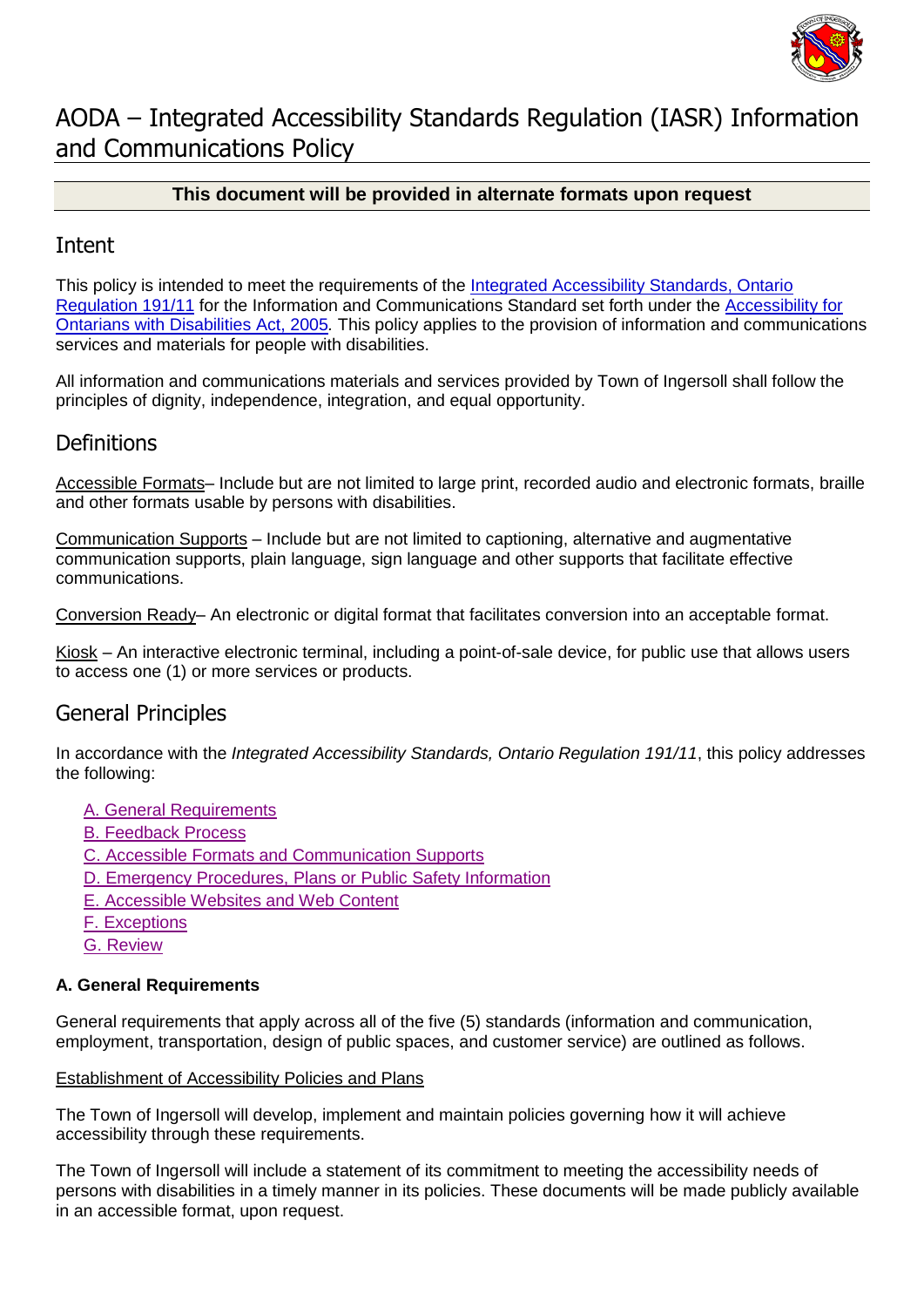

# AODA – Integrated Accessibility Standards Regulation (IASR) Information and Communications Policy

### **This document will be provided in alternate formats upon request**

### Intent

This policy is intended to meet the requirements of the [Integrated Accessibility Standards, Ontario](http://www.e-laws.gov.on.ca/html/regs/english/elaws_regs_110191_e.htm)  [Regulation 191/11](http://www.e-laws.gov.on.ca/html/regs/english/elaws_regs_110191_e.htm) for the Information and Communications Standard set forth under the [Accessibility for](http://www.e-laws.gov.on.ca/html/statutes/english/elaws_statutes_05a11_e.htm)  [Ontarians with Disabilities Act, 2005](http://www.e-laws.gov.on.ca/html/statutes/english/elaws_statutes_05a11_e.htm)*.* This policy applies to the provision of information and communications services and materials for people with disabilities.

All information and communications materials and services provided by Town of Ingersoll shall follow the principles of dignity, independence, integration, and equal opportunity.

# **Definitions**

Accessible Formats– Include but are not limited to large print, recorded audio and electronic formats, braille and other formats usable by persons with disabilities.

Communication Supports – Include but are not limited to captioning, alternative and augmentative communication supports, plain language, sign language and other supports that facilitate effective communications.

Conversion Ready– An electronic or digital format that facilitates conversion into an acceptable format.

Kiosk – An interactive electronic terminal, including a point-of-sale device, for public use that allows users to access one (1) or more services or products.

# General Principles

In accordance with the *Integrated Accessibility Standards, Ontario Regulation 191/11*, this policy addresses the following:

- [A. General Requirements](#page-0-0)
- [B. Feedback Process](#page-1-0)
- [C. Accessible Formats and Communication Supports](#page-1-1)
- [D. Emergency Procedures, Plans or Public Safety Information](#page-1-2)
- E. Accessible Websites [and Web Content](#page-2-0)
- [F. Exceptions](#page-2-1)
- [G. Review](#page-2-2)

### <span id="page-0-0"></span>**A. General Requirements**

General requirements that apply across all of the five (5) standards (information and communication, employment, transportation, design of public spaces, and customer service) are outlined as follows.

#### Establishment of Accessibility Policies and Plans

The Town of Ingersoll will develop, implement and maintain policies governing how it will achieve accessibility through these requirements.

The Town of Ingersoll will include a statement of its commitment to meeting the accessibility needs of persons with disabilities in a timely manner in its policies. These documents will be made publicly available in an accessible format, upon request.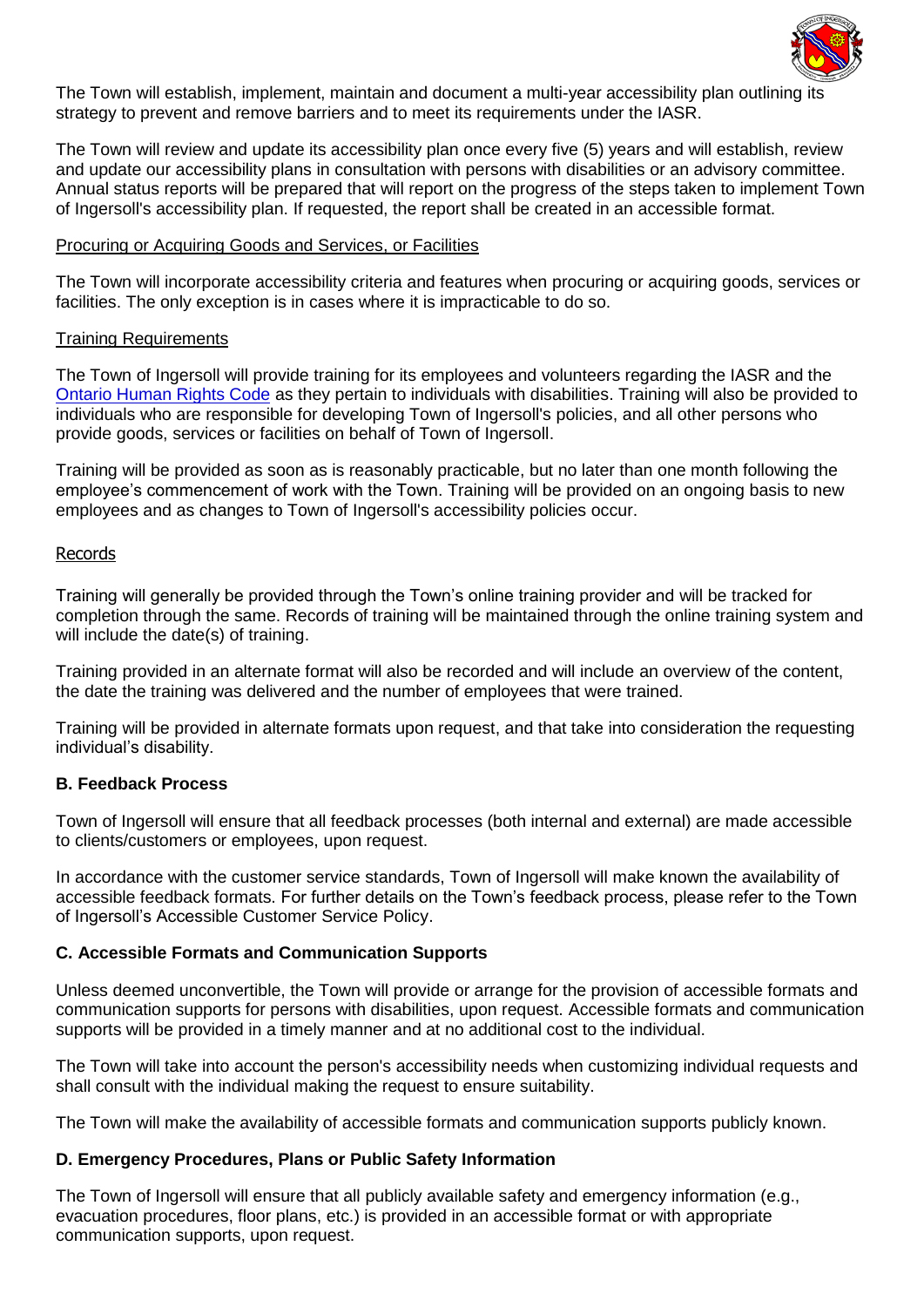

The Town will establish, implement, maintain and document a multi-year accessibility plan outlining its strategy to prevent and remove barriers and to meet its requirements under the IASR.

The Town will review and update its accessibility plan once every five (5) years and will establish, review and update our accessibility plans in consultation with persons with disabilities or an advisory committee. Annual status reports will be prepared that will report on the progress of the steps taken to implement Town of Ingersoll's accessibility plan. If requested, the report shall be created in an accessible format.

#### Procuring or Acquiring Goods and Services, or Facilities

The Town will incorporate accessibility criteria and features when procuring or acquiring goods, services or facilities. The only exception is in cases where it is impracticable to do so.

#### Training Requirements

The Town of Ingersoll will provide training for its employees and volunteers regarding the IASR and the [Ontario Human Rights Code](http://www.e-laws.gov.on.ca/html/statutes/english/elaws_statutes_90h19_e.htm) as they pertain to individuals with disabilities. Training will also be provided to individuals who are responsible for developing Town of Ingersoll's policies, and all other persons who provide goods, services or facilities on behalf of Town of Ingersoll.

Training will be provided as soon as is reasonably practicable, but no later than one month following the employee's commencement of work with the Town. Training will be provided on an ongoing basis to new employees and as changes to Town of Ingersoll's accessibility policies occur.

#### Records

Training will generally be provided through the Town's online training provider and will be tracked for completion through the same. Records of training will be maintained through the online training system and will include the date(s) of training.

Training provided in an alternate format will also be recorded and will include an overview of the content, the date the training was delivered and the number of employees that were trained.

Training will be provided in alternate formats upon request, and that take into consideration the requesting individual's disability.

#### <span id="page-1-0"></span>**B. Feedback Process**

Town of Ingersoll will ensure that all feedback processes (both internal and external) are made accessible to clients/customers or employees, upon request.

In accordance with the customer service standards, Town of Ingersoll will make known the availability of accessible feedback formats. For further details on the Town's feedback process, please refer to the Town of Ingersoll's Accessible Customer Service Policy.

#### <span id="page-1-1"></span>**C. Accessible Formats and Communication Supports**

Unless deemed unconvertible, the Town will provide or arrange for the provision of accessible formats and communication supports for persons with disabilities, upon request. Accessible formats and communication supports will be provided in a timely manner and at no additional cost to the individual.

The Town will take into account the person's accessibility needs when customizing individual requests and shall consult with the individual making the request to ensure suitability.

The Town will make the availability of accessible formats and communication supports publicly known.

#### <span id="page-1-2"></span>**D. Emergency Procedures, Plans or Public Safety Information**

The Town of Ingersoll will ensure that all publicly available safety and emergency information (e.g., evacuation procedures, floor plans, etc.) is provided in an accessible format or with appropriate communication supports, upon request.